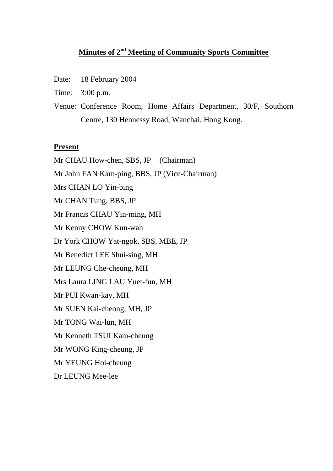# **Minutes of 2nd Meeting of Community Sports Committee**

- Date: 18 February 2004
- Time: 3:00 p.m.
- Venue: Conference Room, Home Affairs Department, 30/F, Southorn Centre, 130 Hennessy Road, Wanchai, Hong Kong.

#### **Present**

Mr CHAU How-chen, SBS, JP (Chairman) Mr John FAN Kam-ping, BBS, JP (Vice-Chairman) Mrs CHAN LO Yin-bing Mr CHAN Tung, BBS, JP Mr Francis CHAU Yin-ming, MH Mr Kenny CHOW Kun-wah Dr York CHOW Yat-ngok, SBS, MBE, JP Mr Benedict LEE Shui-sing, MH Mr LEUNG Che-cheung, MH Mrs Laura LING LAU Yuet-fun, MH Mr PUI Kwan-kay, MH Mr SUEN Kai-cheong, MH, JP Mr TONG Wai-lun, MH Mr Kenneth TSUI Kam-cheung Mr WONG King-cheung, JP Mr YEUNG Hoi-cheung Dr LEUNG Mee-lee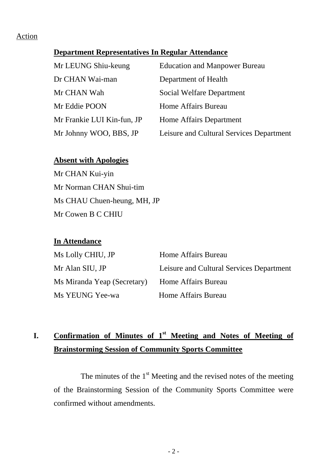## **Department Representatives In Regular Attendance**

| Mr LEUNG Shiu-keung        | <b>Education and Manpower Bureau</b>     |
|----------------------------|------------------------------------------|
| Dr CHAN Wai-man            | Department of Health                     |
| Mr CHAN Wah                | Social Welfare Department                |
| Mr Eddie POON              | Home Affairs Bureau                      |
| Mr Frankie LUI Kin-fun, JP | Home Affairs Department                  |
| Mr Johnny WOO, BBS, JP     | Leisure and Cultural Services Department |

#### **Absent with Apologies**

Mr CHAN Kui-yin Mr Norman CHAN Shui-tim Ms CHAU Chuen-heung, MH, JP Mr Cowen B C CHIU

### **In Attendance**

| Ms Lolly CHIU, JP           | Home Affairs Bureau                      |
|-----------------------------|------------------------------------------|
| Mr Alan SIU, JP             | Leisure and Cultural Services Department |
| Ms Miranda Yeap (Secretary) | Home Affairs Bureau                      |
| Ms YEUNG Yee-wa             | Home Affairs Bureau                      |

# **I. Confirmation of Minutes of 1st Meeting and Notes of Meeting of Brainstorming Session of Community Sports Committee**

The minutes of the  $1<sup>st</sup>$  Meeting and the revised notes of the meeting of the Brainstorming Session of the Community Sports Committee were confirmed without amendments.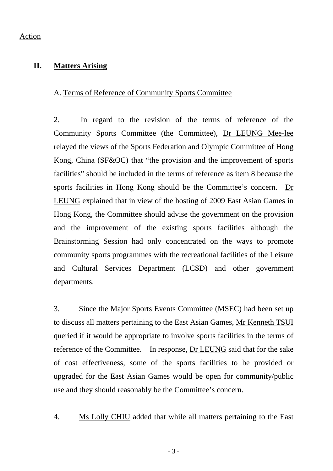## **II. Matters Arising**

### A. Terms of Reference of Community Sports Committee

2. In regard to the revision of the terms of reference of the Community Sports Committee (the Committee), Dr LEUNG Mee-lee relayed the views of the Sports Federation and Olympic Committee of Hong Kong, China (SF&OC) that "the provision and the improvement of sports facilities" should be included in the terms of reference as item 8 because the sports facilities in Hong Kong should be the Committee's concern. Dr LEUNG explained that in view of the hosting of 2009 East Asian Games in Hong Kong, the Committee should advise the government on the provision and the improvement of the existing sports facilities although the Brainstorming Session had only concentrated on the ways to promote community sports programmes with the recreational facilities of the Leisure and Cultural Services Department (LCSD) and other government departments.

3. Since the Major Sports Events Committee (MSEC) had been set up to discuss all matters pertaining to the East Asian Games, Mr Kenneth TSUI queried if it would be appropriate to involve sports facilities in the terms of reference of the Committee. In response, Dr LEUNG said that for the sake of cost effectiveness, some of the sports facilities to be provided or upgraded for the East Asian Games would be open for community/public use and they should reasonably be the Committee's concern.

4. Ms Lolly CHIU added that while all matters pertaining to the East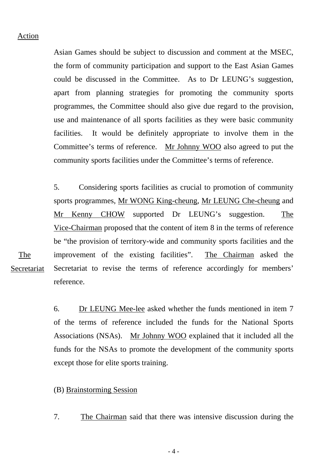Asian Games should be subject to discussion and comment at the MSEC, the form of community participation and support to the East Asian Games could be discussed in the Committee. As to Dr LEUNG's suggestion, apart from planning strategies for promoting the community sports programmes, the Committee should also give due regard to the provision, use and maintenance of all sports facilities as they were basic community facilities. It would be definitely appropriate to involve them in the Committee's terms of reference. Mr Johnny WOO also agreed to put the community sports facilities under the Committee's terms of reference.

5. Considering sports facilities as crucial to promotion of community sports programmes, Mr WONG King-cheung, Mr LEUNG Che-cheung and Mr Kenny CHOW supported Dr LEUNG's suggestion. The Vice-Chairman proposed that the content of item 8 in the terms of reference be "the provision of territory-wide and community sports facilities and the improvement of the existing facilities". The Chairman asked the Secretariat to revise the terms of reference accordingly for members' reference.

The Secretariat

> 6. Dr LEUNG Mee-lee asked whether the funds mentioned in item 7 of the terms of reference included the funds for the National Sports Associations (NSAs). Mr Johnny WOO explained that it included all the funds for the NSAs to promote the development of the community sports except those for elite sports training.

- (B) Brainstorming Session
- 7. The Chairman said that there was intensive discussion during the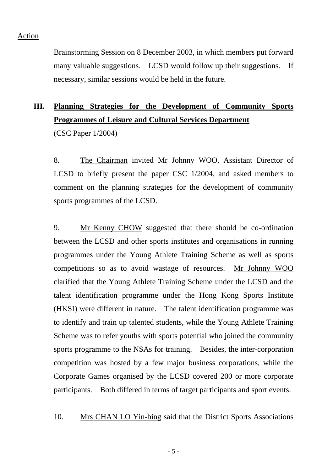Brainstorming Session on 8 December 2003, in which members put forward many valuable suggestions. LCSD would follow up their suggestions. If necessary, similar sessions would be held in the future.

# **III. Planning Strategies for the Development of Community Sports Programmes of Leisure and Cultural Services Department**

(CSC Paper 1/2004)

8. The Chairman invited Mr Johnny WOO, Assistant Director of LCSD to briefly present the paper CSC 1/2004, and asked members to comment on the planning strategies for the development of community sports programmes of the LCSD.

9. Mr Kenny CHOW suggested that there should be co-ordination between the LCSD and other sports institutes and organisations in running programmes under the Young Athlete Training Scheme as well as sports competitions so as to avoid wastage of resources. Mr Johnny WOO clarified that the Young Athlete Training Scheme under the LCSD and the talent identification programme under the Hong Kong Sports Institute (HKSI) were different in nature. The talent identification programme was to identify and train up talented students, while the Young Athlete Training Scheme was to refer youths with sports potential who joined the community sports programme to the NSAs for training. Besides, the inter-corporation competition was hosted by a few major business corporations, while the Corporate Games organised by the LCSD covered 200 or more corporate participants. Both differed in terms of target participants and sport events.

10. Mrs CHAN LO Yin-bing said that the District Sports Associations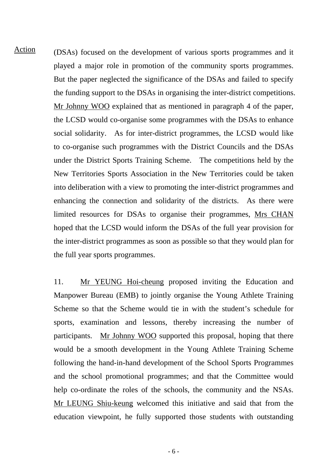(DSAs) focused on the development of various sports programmes and it played a major role in promotion of the community sports programmes. But the paper neglected the significance of the DSAs and failed to specify the funding support to the DSAs in organising the inter-district competitions. Mr Johnny WOO explained that as mentioned in paragraph 4 of the paper, the LCSD would co-organise some programmes with the DSAs to enhance social solidarity. As for inter-district programmes, the LCSD would like to co-organise such programmes with the District Councils and the DSAs under the District Sports Training Scheme. The competitions held by the New Territories Sports Association in the New Territories could be taken into deliberation with a view to promoting the inter-district programmes and enhancing the connection and solidarity of the districts. As there were limited resources for DSAs to organise their programmes, Mrs CHAN hoped that the LCSD would inform the DSAs of the full year provision for the inter-district programmes as soon as possible so that they would plan for the full year sports programmes. Action

> 11. Mr YEUNG Hoi-cheung proposed inviting the Education and Manpower Bureau (EMB) to jointly organise the Young Athlete Training Scheme so that the Scheme would tie in with the student's schedule for sports, examination and lessons, thereby increasing the number of participants. Mr Johnny WOO supported this proposal, hoping that there would be a smooth development in the Young Athlete Training Scheme following the hand-in-hand development of the School Sports Programmes and the school promotional programmes; and that the Committee would help co-ordinate the roles of the schools, the community and the NSAs. Mr LEUNG Shiu-keung welcomed this initiative and said that from the education viewpoint, he fully supported those students with outstanding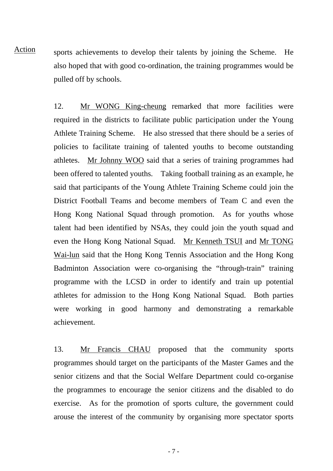sports achievements to develop their talents by joining the Scheme. He also hoped that with good co-ordination, the training programmes would be pulled off by schools. Action

> 12. Mr WONG King-cheung remarked that more facilities were required in the districts to facilitate public participation under the Young Athlete Training Scheme. He also stressed that there should be a series of policies to facilitate training of talented youths to become outstanding athletes. Mr Johnny WOO said that a series of training programmes had been offered to talented youths. Taking football training as an example, he said that participants of the Young Athlete Training Scheme could join the District Football Teams and become members of Team C and even the Hong Kong National Squad through promotion. As for youths whose talent had been identified by NSAs, they could join the youth squad and even the Hong Kong National Squad. Mr Kenneth TSUI and Mr TONG Wai-lun said that the Hong Kong Tennis Association and the Hong Kong Badminton Association were co-organising the "through-train" training programme with the LCSD in order to identify and train up potential athletes for admission to the Hong Kong National Squad. Both parties were working in good harmony and demonstrating a remarkable achievement.

> 13. Mr Francis CHAU proposed that the community sports programmes should target on the participants of the Master Games and the senior citizens and that the Social Welfare Department could co-organise the programmes to encourage the senior citizens and the disabled to do exercise. As for the promotion of sports culture, the government could arouse the interest of the community by organising more spectator sports

> > - 7 -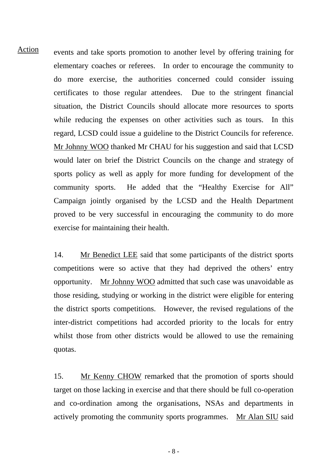events and take sports promotion to another level by offering training for elementary coaches or referees. In order to encourage the community to do more exercise, the authorities concerned could consider issuing certificates to those regular attendees. Due to the stringent financial situation, the District Councils should allocate more resources to sports while reducing the expenses on other activities such as tours. In this regard, LCSD could issue a guideline to the District Councils for reference. Mr Johnny WOO thanked Mr CHAU for his suggestion and said that LCSD would later on brief the District Councils on the change and strategy of sports policy as well as apply for more funding for development of the community sports. He added that the "Healthy Exercise for All" Campaign jointly organised by the LCSD and the Health Department proved to be very successful in encouraging the community to do more exercise for maintaining their health. Action

> 14. Mr Benedict LEE said that some participants of the district sports competitions were so active that they had deprived the others' entry opportunity. Mr Johnny WOO admitted that such case was unavoidable as those residing, studying or working in the district were eligible for entering the district sports competitions. However, the revised regulations of the inter-district competitions had accorded priority to the locals for entry whilst those from other districts would be allowed to use the remaining quotas.

> 15. Mr Kenny CHOW remarked that the promotion of sports should target on those lacking in exercise and that there should be full co-operation and co-ordination among the organisations, NSAs and departments in actively promoting the community sports programmes. Mr Alan SIU said

> > - 8 -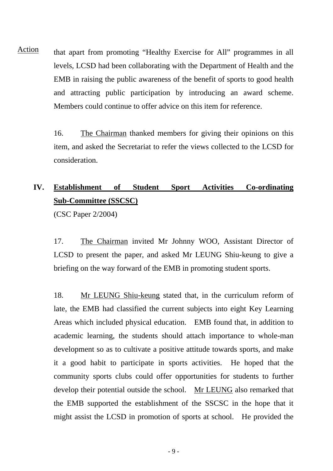that apart from promoting "Healthy Exercise for All" programmes in all levels, LCSD had been collaborating with the Department of Health and the EMB in raising the public awareness of the benefit of sports to good health and attracting public participation by introducing an award scheme. Members could continue to offer advice on this item for reference. Action

> 16. The Chairman thanked members for giving their opinions on this item, and asked the Secretariat to refer the views collected to the LCSD for consideration.

# **IV. Establishment of Student Sport Activities Co-ordinating Sub-Committee (SSCSC)**

(CSC Paper 2/2004)

17. The Chairman invited Mr Johnny WOO, Assistant Director of LCSD to present the paper, and asked Mr LEUNG Shiu-keung to give a briefing on the way forward of the EMB in promoting student sports.

18. Mr LEUNG Shiu-keung stated that, in the curriculum reform of late, the EMB had classified the current subjects into eight Key Learning Areas which included physical education. EMB found that, in addition to academic learning, the students should attach importance to whole-man development so as to cultivate a positive attitude towards sports, and make it a good habit to participate in sports activities. He hoped that the community sports clubs could offer opportunities for students to further develop their potential outside the school. Mr LEUNG also remarked that the EMB supported the establishment of the SSCSC in the hope that it might assist the LCSD in promotion of sports at school. He provided the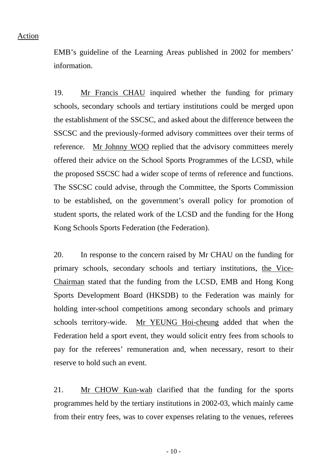EMB's guideline of the Learning Areas published in 2002 for members' information.

19. Mr Francis CHAU inquired whether the funding for primary schools, secondary schools and tertiary institutions could be merged upon the establishment of the SSCSC, and asked about the difference between the SSCSC and the previously-formed advisory committees over their terms of reference. Mr Johnny WOO replied that the advisory committees merely offered their advice on the School Sports Programmes of the LCSD, while the proposed SSCSC had a wider scope of terms of reference and functions. The SSCSC could advise, through the Committee, the Sports Commission to be established, on the government's overall policy for promotion of student sports, the related work of the LCSD and the funding for the Hong Kong Schools Sports Federation (the Federation).

20. In response to the concern raised by Mr CHAU on the funding for primary schools, secondary schools and tertiary institutions, the Vice-Chairman stated that the funding from the LCSD, EMB and Hong Kong Sports Development Board (HKSDB) to the Federation was mainly for holding inter-school competitions among secondary schools and primary schools territory-wide. Mr YEUNG Hoi-cheung added that when the Federation held a sport event, they would solicit entry fees from schools to pay for the referees' remuneration and, when necessary, resort to their reserve to hold such an event.

21. Mr CHOW Kun-wah clarified that the funding for the sports programmes held by the tertiary institutions in 2002-03, which mainly came from their entry fees, was to cover expenses relating to the venues, referees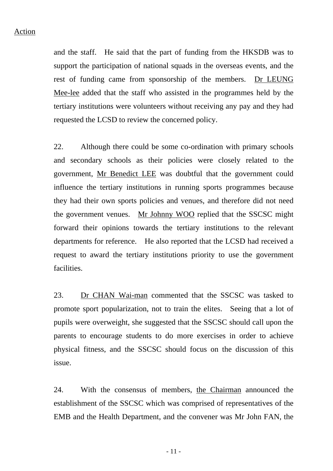and the staff. He said that the part of funding from the HKSDB was to support the participation of national squads in the overseas events, and the rest of funding came from sponsorship of the members. Dr LEUNG Mee-lee added that the staff who assisted in the programmes held by the tertiary institutions were volunteers without receiving any pay and they had requested the LCSD to review the concerned policy.

22. Although there could be some co-ordination with primary schools and secondary schools as their policies were closely related to the government, Mr Benedict LEE was doubtful that the government could influence the tertiary institutions in running sports programmes because they had their own sports policies and venues, and therefore did not need the government venues. Mr Johnny WOO replied that the SSCSC might forward their opinions towards the tertiary institutions to the relevant departments for reference. He also reported that the LCSD had received a request to award the tertiary institutions priority to use the government facilities.

23. Dr CHAN Wai-man commented that the SSCSC was tasked to promote sport popularization, not to train the elites. Seeing that a lot of pupils were overweight, she suggested that the SSCSC should call upon the parents to encourage students to do more exercises in order to achieve physical fitness, and the SSCSC should focus on the discussion of this issue.

24. With the consensus of members, the Chairman announced the establishment of the SSCSC which was comprised of representatives of the EMB and the Health Department, and the convener was Mr John FAN, the